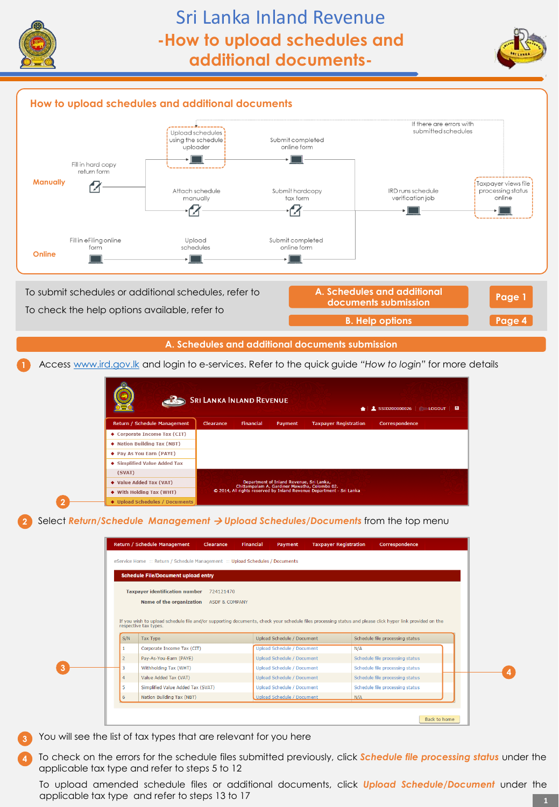

**2**

**3**



# **How to upload schedules and additional documents**



### **A. Schedules and additional documents submission**

**1** Access [www.ird.gov.lk](http://www.ird.gov.lk/) and login to e-services. Refer to the quick guide *"How to login"* for more details

| <b>SRI LANKA INLAND REVENUE</b><br>$\triangle$   1 SSID200000026   $\Box$ LOGOUT   $\Box$ |           |                  |                                                                                           |                                                                      |                |  |  |
|-------------------------------------------------------------------------------------------|-----------|------------------|-------------------------------------------------------------------------------------------|----------------------------------------------------------------------|----------------|--|--|
| Return / Schedule Management                                                              | Clearance | <b>Financial</b> | Payment                                                                                   | <b>Taxpayer Registration</b>                                         | Correspondence |  |  |
| ♦ Corporate Income Tax (CIT)                                                              |           |                  |                                                                                           |                                                                      |                |  |  |
| ♦ Nation Building Tax (NBT)                                                               |           |                  |                                                                                           |                                                                      |                |  |  |
| ◆ Pay As You Earn (PAYE)                                                                  |           |                  |                                                                                           |                                                                      |                |  |  |
| ♦ Simplified Value Added Tax                                                              |           |                  |                                                                                           |                                                                      |                |  |  |
| (SVAT)                                                                                    |           |                  |                                                                                           |                                                                      |                |  |  |
| ◆ Value Added Tax (VAT)                                                                   |           |                  | Department of Inland Revenue, Sri Lanka,<br>Chittampalam A. Gardiner Mawatha, Colombo 02. |                                                                      |                |  |  |
| ♦ With Holding Tax (WHT)                                                                  |           |                  |                                                                                           | © 2014, All rights reserved by Inland Revenue Department - Sri Lanka |                |  |  |
| ◆ Upload Schedules / Documents                                                            |           |                  |                                                                                           |                                                                      |                |  |  |

**2** Select *Return/Schedule Management Upload Schedules/Documents* from the top menu

|                | <b>Schedule File/Document upload entry</b> |                           |                                   |     |                                                                                                                                                          |  |
|----------------|--------------------------------------------|---------------------------|-----------------------------------|-----|----------------------------------------------------------------------------------------------------------------------------------------------------------|--|
|                | <b>Taxpayer identification number</b>      | 724121470                 |                                   |     |                                                                                                                                                          |  |
|                | Name of the organization                   | <b>ASDF &amp; COMPANY</b> |                                   |     |                                                                                                                                                          |  |
|                |                                            |                           |                                   |     |                                                                                                                                                          |  |
|                |                                            |                           |                                   |     |                                                                                                                                                          |  |
|                |                                            |                           |                                   |     |                                                                                                                                                          |  |
|                | respective tax types.                      |                           |                                   |     | If you wish to upload schedule file and/or supporting documents, check your schedule files processing status and please click hyper link provided on the |  |
| S/N            | <b>Tax Type</b>                            |                           | Upload Schedule / Document        |     | Schedule file processing status                                                                                                                          |  |
|                | Corporate Income Tax (CIT)                 |                           | <b>Upload Schedule / Document</b> | N/A |                                                                                                                                                          |  |
| $\overline{2}$ | Pav-As-You-Earn (PAYE)                     |                           | <b>Upload Schedule / Document</b> |     | Schedule file processing status                                                                                                                          |  |
| 3              | Withholding Tax (WHT)                      |                           | <b>Upload Schedule / Document</b> |     | Schedule file processing status                                                                                                                          |  |
| 4              | Value Added Tax (VAT)                      |                           | <b>Upload Schedule / Document</b> |     | Schedule file processing status                                                                                                                          |  |
| 5              | Simplified Value Added Tax (SVAT)          |                           | <b>Upload Schedule / Document</b> |     | Schedule file processing status                                                                                                                          |  |

**3** You will see the list of tax types that are relevant for you here

**4** To check on the errors for the schedule files submitted previously, click *Schedule file processing status* under the applicable tax type and refer to steps 5 to 12

To upload amended schedule files or additional documents, click *Upload Schedule/Document* under the applicable tax type and refer to steps 13 to 17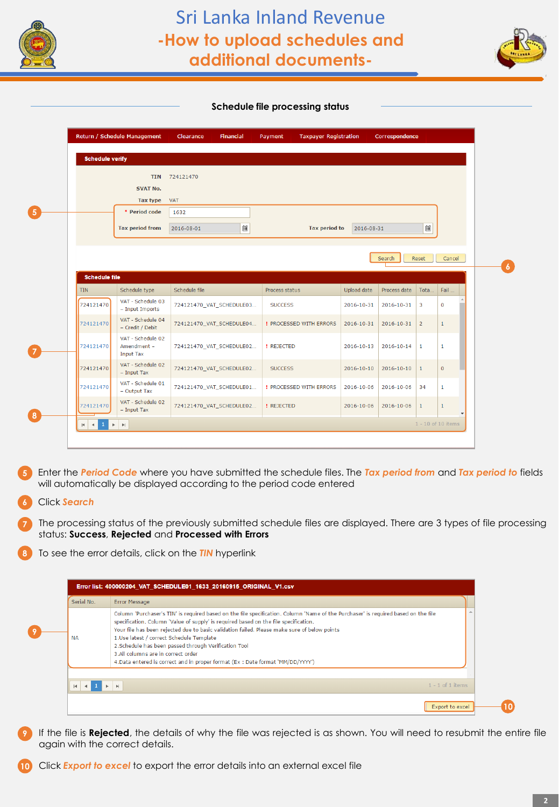



### **Schedule file processing status**

| <b>Schedule verify</b> |                                                      |                          |                                |             |              |                         |              |
|------------------------|------------------------------------------------------|--------------------------|--------------------------------|-------------|--------------|-------------------------|--------------|
|                        | <b>TIN</b>                                           | 724121470                |                                |             |              |                         |              |
|                        | <b>SVAT No.</b>                                      |                          |                                |             |              |                         |              |
|                        | <b>Tax type</b>                                      | <b>VAT</b>               |                                |             |              |                         |              |
|                        | * Period code                                        | 1632                     |                                |             |              |                         |              |
|                        | <b>Tax period from</b>                               | $\boxdot$<br>2016-08-01  | <b>Tax period to</b>           | 2016-08-31  |              | $\Box$                  |              |
|                        |                                                      |                          |                                |             |              |                         |              |
|                        |                                                      |                          |                                |             | Search       | Reset                   | Cancel       |
|                        |                                                      |                          |                                |             |              |                         |              |
| <b>Schedule file</b>   |                                                      |                          |                                |             |              |                         |              |
| <b>TIN</b>             | Schedule type                                        | Schedule file            | Process status                 | Upload date | Process date | Tota                    | Fail         |
| 724121470              | VAT - Schedule 03<br>- Input Imports                 | 724121470_VAT_SCHEDULE03 | <b>SUCCESS</b>                 | 2016-10-31  | 2016-10-31   | $\overline{\mathbf{3}}$ | $\mathbf{0}$ |
|                        | VAT - Schedule 04                                    | 724121470_VAT_SCHEDULE04 | <b>! PROCESSED WITH ERRORS</b> | 2016-10-31  | 2016-10-31   | $\overline{2}$          | $\mathbf{1}$ |
| 724121470              | - Credit / Debit                                     |                          |                                |             |              |                         |              |
| 724121470              | VAT - Schedule 02<br>Amendment -<br><b>Input Tax</b> | 724121470_VAT_SCHEDULE02 | <b>! REJECTED</b>              | 2016-10-13  | 2016-10-14   | $\mathbf{1}$            | $\mathbf{1}$ |
| 724121470              | VAT - Schedule 02<br>$-$ Input Tax                   | 724121470_VAT_SCHEDULE02 | <b>SUCCESS</b>                 | 2016-10-10  | 2016-10-10   | $\mathbf{1}$            | $\mathbf{0}$ |
| 724121470              | VAT - Schedule 01<br>- Output Tax                    | 724121470_VAT_SCHEDULE01 | <b>! PROCESSED WITH ERRORS</b> | 2016-10-06  | 2016-10-06   | 34                      | $\mathbf{1}$ |
| 724121470              | VAT - Schedule 02<br>$-$ Input Tax                   | 724121470_VAT_SCHEDULE02 | <b>! REJECTED</b>              | 2016-10-06  | 2016-10-06   | $\mathbf{1}$            | $\mathbf{1}$ |

 Enter the *Period Code* where you have submitted the schedule files. The *Tax period from* and *Tax period to* fields will automatically be displayed according to the period code entered

## Click *Search*

 The processing status of the previously submitted schedule files are displayed. There are 3 types of file processing status: **Success**, **Rejected** and **Processed with Errors**

To see the error details, click on the *TIN* hyperlink

| Serial No.   | Error Message                                                                                                                                                                                                                                                                                                                                                                                                                                                                                                                                           |  |
|--------------|---------------------------------------------------------------------------------------------------------------------------------------------------------------------------------------------------------------------------------------------------------------------------------------------------------------------------------------------------------------------------------------------------------------------------------------------------------------------------------------------------------------------------------------------------------|--|
| <b>NA</b>    | Column 'Purchaser's TIN' is required based on the file specification. Column 'Name of the Purchaser' is required based on the file<br>specification. Column 'Value of supply' is required based on the file specification.<br>Your file has been rejected due to basic validation failed. Please make sure of below points<br>1.Use latest / correct Schedule Template<br>2. Schedule has been passed through Verification Tool<br>3.All columns are in correct order<br>4. Data entered is correct and in proper format (Ex: Date format 'MM/DD/YYYY') |  |
| $\mathbf{H}$ | $1 - 1$ of 1 items<br>$\blacktriangleright$                                                                                                                                                                                                                                                                                                                                                                                                                                                                                                             |  |

 If the file is **Rejected**, the details of why the file was rejected is as shown. You will need to resubmit the entire file again with the correct details.

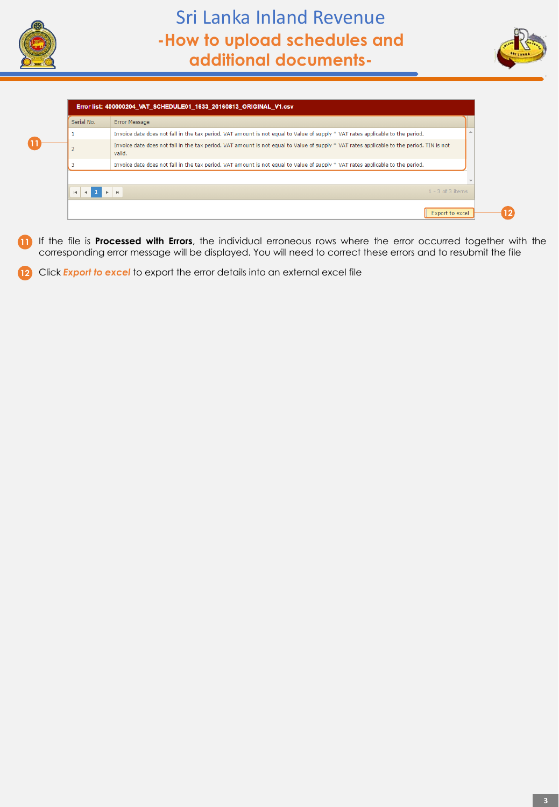





- **11** If the file is **Processed with Errors**, the individual erroneous rows where the error occurred together with the corresponding error message will be displayed. You will need to correct these errors and to resubmit the file
- 12 Click **Export to excel** to export the error details into an external excel file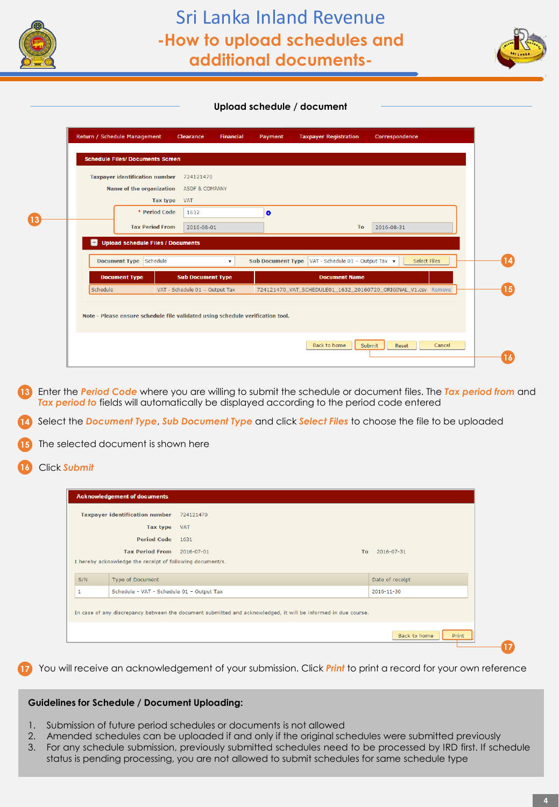



### **Upload schedule / document**

|          | <b>Taxpayer identification number</b>    | 724121470                      |                          |                                  |                                                               |
|----------|------------------------------------------|--------------------------------|--------------------------|----------------------------------|---------------------------------------------------------------|
|          | Name of the organization                 | <b>ASDF &amp; COMPANY</b>      |                          |                                  |                                                               |
|          | Tax type                                 | <b>VAT</b>                     |                          |                                  |                                                               |
|          | * Period Code                            | 1632                           | $\bullet$                |                                  |                                                               |
|          | <b>Tax Period From</b>                   | 2016-08-01                     |                          | To                               | 2016-08-31                                                    |
| $\Box$   | <b>Upload schedule Files / Documents</b> |                                |                          |                                  |                                                               |
|          | Document Type Schedule                   |                                | <b>Sub Document Type</b> | VAT - Schedule 01 - Output Tax v | <b>Select Files</b>                                           |
|          |                                          |                                |                          | <b>Document Name</b>             |                                                               |
|          | <b>Document Type</b>                     | <b>Sub Document Type</b>       |                          |                                  |                                                               |
| Schedule |                                          | VAT - Schedule 01 - Output Tax |                          |                                  | 724121470 VAT SCHEDULE01 1632 20160720 ORIGINAL V1.csv Remove |

**13** Enter the *Period Code* where you are willing to submit the schedule or document files. The *Tax period from* and *Tax period to* fields will automatically be displayed according to the period code entered

**14** Select the *Document Type*, *Sub Document Type* and click *Select Files* to choose the file to be uploaded

**15** The selected document is shown here

**16** Click *Submit*

|     | <b>Taxpayer identification number</b>                                         | 724121470                                                                                                      |           |                 |
|-----|-------------------------------------------------------------------------------|----------------------------------------------------------------------------------------------------------------|-----------|-----------------|
|     | Tax type                                                                      | <b>VAT</b>                                                                                                     |           |                 |
|     | <b>Period Code</b>                                                            | 1631                                                                                                           |           |                 |
|     | <b>Tax Period From</b>                                                        | 2016-07-01                                                                                                     | <b>To</b> | 2016-07-31      |
| S/N | I hereby acknowledge the receipt of following document/s.<br>Type of Document |                                                                                                                |           | Date of receipt |
| 1   | Schedule - VAT - Schedule 01 - Output Tax                                     |                                                                                                                |           | 2016-11-30      |
|     |                                                                               | In case of any discrepancy between the document submitted and acknowledged, it will be informed in due course. |           |                 |
|     |                                                                               |                                                                                                                |           |                 |

**17** You will receive an acknowledgement of your submission. Click *Print* to print a record for your own reference

### **Guidelines for Schedule / Document Uploading:**

- 1. Submission of future period schedules or documents is not allowed
- 2. Amended schedules can be uploaded if and only if the original schedules were submitted previously
- 3. For any schedule submission, previously submitted schedules need to be processed by IRD first. If schedule status is pending processing, you are not allowed to submit schedules for same schedule type